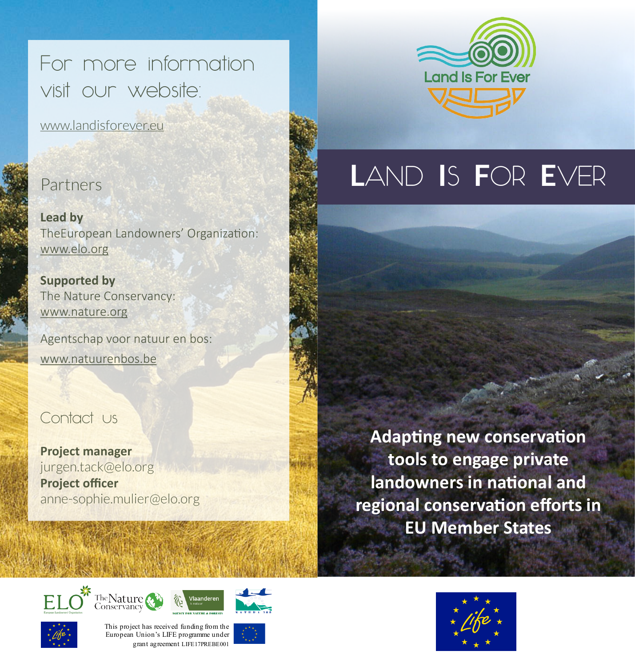For more information visit our website:

www.landisforever.eu

### Partners

**Lead by** TheEuropean Landowners' Organization: www.elo.org

**Supported by** The Nature Conservancy: www.nature.org

Agentschap voor natuur en bos: www.natuurenbos.be

## Contact us

**Project manager** jurgen.tack@elo.org **Project officer** anne-sophie.mulier@elo.org



# **L**AND **I**S **F**OR **E**VER

**Adapting new conservation tools to engage private landowners in national and regional conservation efforts in EU Member States**











This project has received funding from the European Union's LIFE programme under grant agreement LIFE17PREBE001